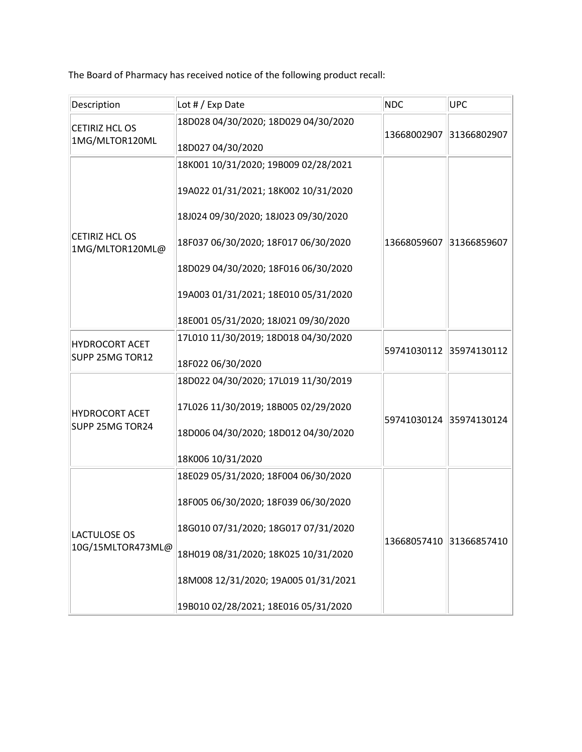|                                          | The Board of Pharmacy has received notice of the following product recall:   |                         |                                                    |  |
|------------------------------------------|------------------------------------------------------------------------------|-------------------------|----------------------------------------------------|--|
| Description                              | Lot # / Exp Date                                                             | NDC                     | <b>UPC</b>                                         |  |
| <b>CETIRIZ HCL OS</b><br>1MG/MLTOR120ML  | 18D028 04/30/2020; 18D029 04/30/2020<br>18D027 04/30/2020                    | 13668002907 31366802907 |                                                    |  |
|                                          | 18K001 10/31/2020; 19B009 02/28/2021                                         |                         |                                                    |  |
| <b>CETIRIZ HCL OS</b><br>1MG/MLTOR120ML@ | 19A022 01/31/2021; 18K002 10/31/2020                                         | 13668059607 31366859607 |                                                    |  |
|                                          | 18J024 09/30/2020; 18J023 09/30/2020                                         |                         |                                                    |  |
|                                          | 18F037 06/30/2020; 18F017 06/30/2020<br>18D029 04/30/2020; 18F016 06/30/2020 |                         |                                                    |  |
|                                          | 19A003 01/31/2021; 18E010 05/31/2020                                         |                         |                                                    |  |
|                                          | 18E001 05/31/2020; 18J021 09/30/2020                                         |                         |                                                    |  |
| <b>HYDROCORT ACET</b><br>SUPP 25MG TOR12 | 17L010 11/30/2019; 18D018 04/30/2020                                         |                         |                                                    |  |
|                                          | 18F022 06/30/2020                                                            |                         |                                                    |  |
|                                          | 18D022 04/30/2020; 17L019 11/30/2019                                         |                         | 59741030112 35974130112<br>59741030124 35974130124 |  |
| <b>HYDROCORT ACET</b><br>SUPP 25MG TOR24 | 17L026 11/30/2019; 18B005 02/29/2020                                         |                         |                                                    |  |
|                                          | 18D006 04/30/2020; 18D012 04/30/2020                                         |                         |                                                    |  |
|                                          | 18K006 10/31/2020                                                            |                         |                                                    |  |
|                                          | 18E029 05/31/2020; 18F004 06/30/2020                                         |                         | 13668057410 31366857410                            |  |
| <b>LACTULOSE OS</b><br>10G/15MLTOR473ML@ | 18F005 06/30/2020; 18F039 06/30/2020                                         |                         |                                                    |  |
|                                          | 18G010 07/31/2020; 18G017 07/31/2020                                         |                         |                                                    |  |
|                                          | 18H019 08/31/2020; 18K025 10/31/2020                                         |                         |                                                    |  |
|                                          | 18M008 12/31/2020; 19A005 01/31/2021                                         |                         |                                                    |  |
|                                          | 19B010 02/28/2021; 18E016 05/31/2020                                         |                         |                                                    |  |